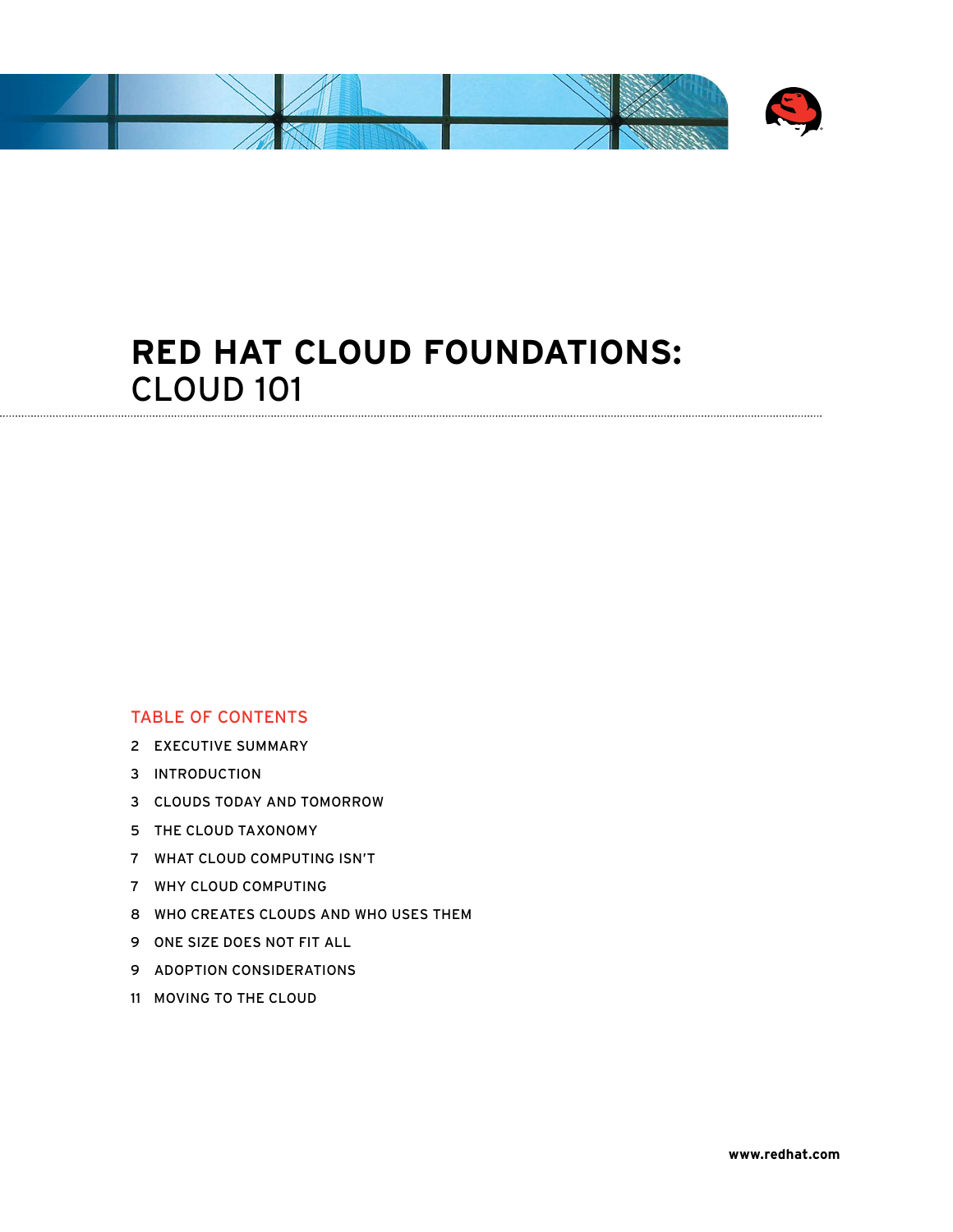

# **Red Hat Cloud Foundations:**  Cloud 101

#### Table of contents

- 2 Executive summary
- 3 Introduction
- 3 Clouds today and tomorrow
- 5 The cloud taxonomy
- 7 What cloud computing isn't
- 7 Why cloud computing
- 8 Who creates clouds and who uses them
- 9 One size does not fit all
- 9 Adoption considerations
- 11 Moving to the cloud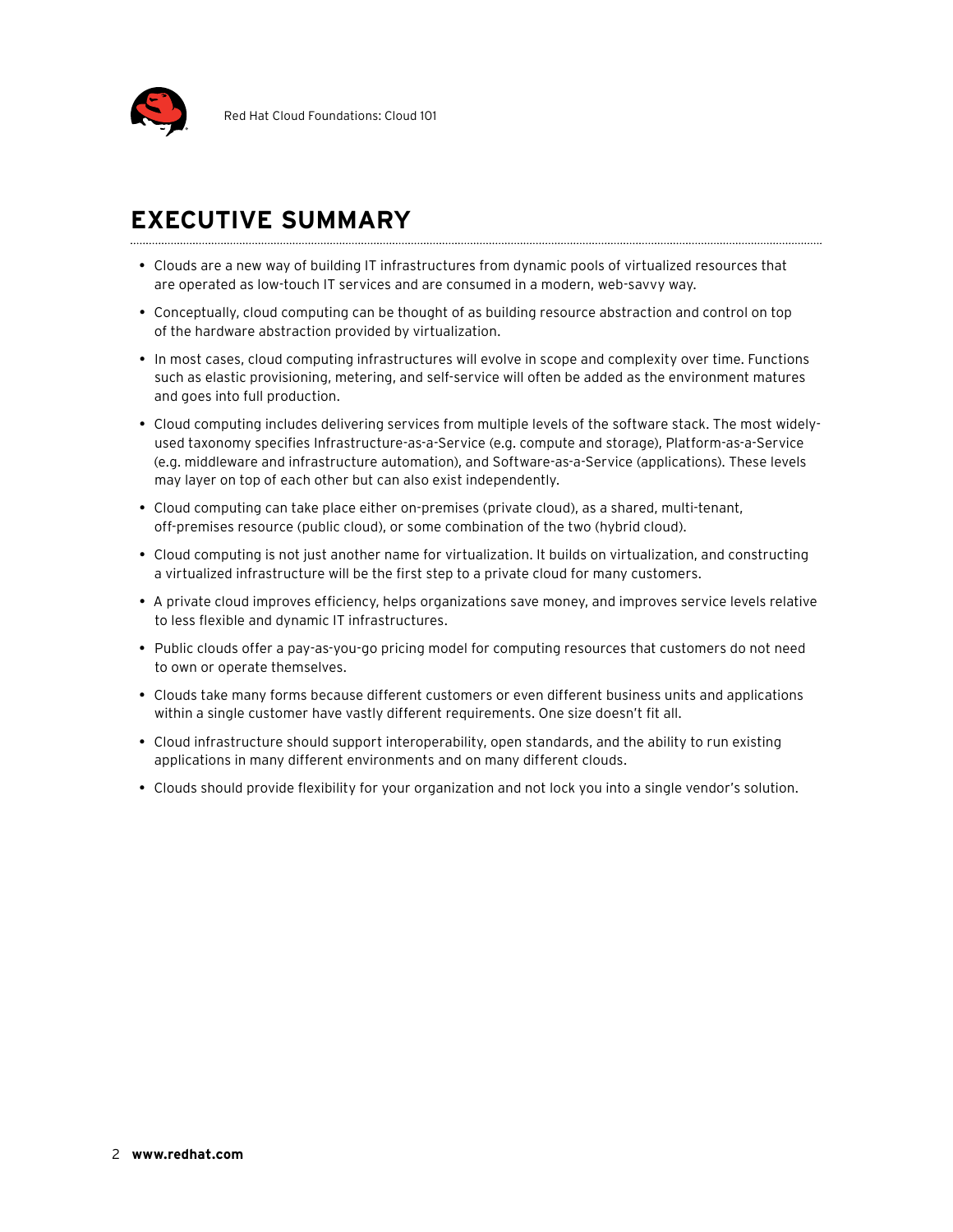

### **Executive Summary**

- • Clouds are a new way of building IT infrastructures from dynamic pools of virtualized resources that are operated as low-touch IT services and are consumed in a modern, web-savvy way.
- • Conceptually, cloud computing can be thought of as building resource abstraction and control on top of the hardware abstraction provided by virtualization.
- • In most cases, cloud computing infrastructures will evolve in scope and complexity over time. Functions such as elastic provisioning, metering, and self-service will often be added as the environment matures and goes into full production.
- • Cloud computing includes delivering services from multiple levels of the software stack. The most widelyused taxonomy specifies Infrastructure-as-a-Service (e.g. compute and storage), Platform-as-a-Service (e.g. middleware and infrastructure automation), and Software-as-a-Service (applications). These levels may layer on top of each other but can also exist independently.
- Cloud computing can take place either on-premises (private cloud), as a shared, multi-tenant, off-premises resource (public cloud), or some combination of the two (hybrid cloud).
- • Cloud computing is not just another name for virtualization. It builds on virtualization, and constructing a virtualized infrastructure will be the first step to a private cloud for many customers.
- • A private cloud improves efficiency, helps organizations save money, and improves service levels relative to less flexible and dynamic IT infrastructures.
- Public clouds offer a pay-as-you-go pricing model for computing resources that customers do not need to own or operate themselves.
- • Clouds take many forms because different customers or even different business units and applications within a single customer have vastly different requirements. One size doesn't fit all.
- • Cloud infrastructure should support interoperability, open standards, and the ability to run existing applications in many different environments and on many different clouds.
- • Clouds should provide flexibility for your organization and not lock you into a single vendor's solution.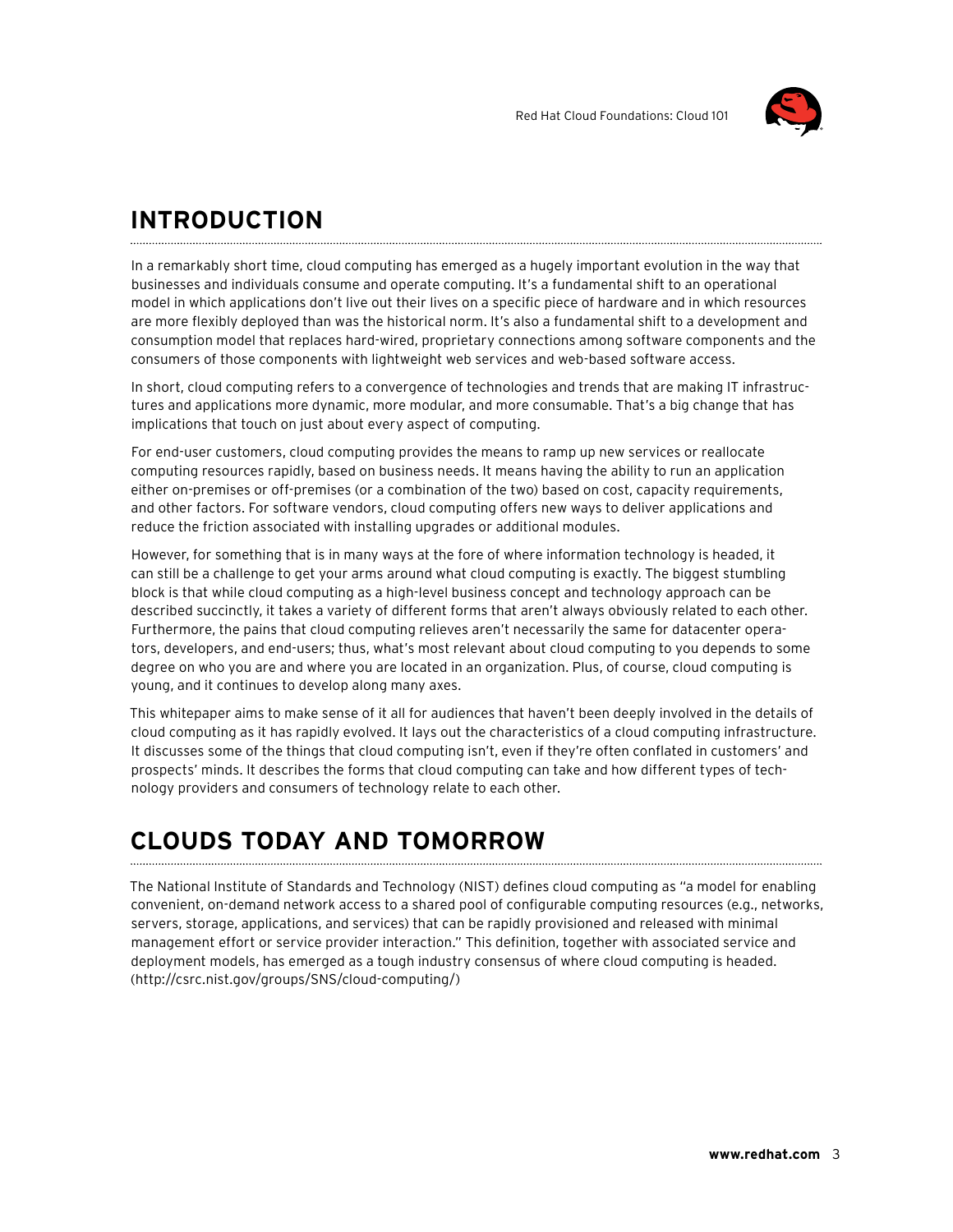

### **Introduction**

In a remarkably short time, cloud computing has emerged as a hugely important evolution in the way that businesses and individuals consume and operate computing. It's a fundamental shift to an operational model in which applications don't live out their lives on a specific piece of hardware and in which resources are more flexibly deployed than was the historical norm. It's also a fundamental shift to a development and consumption model that replaces hard-wired, proprietary connections among software components and the consumers of those components with lightweight web services and web-based software access.

In short, cloud computing refers to a convergence of technologies and trends that are making IT infrastructures and applications more dynamic, more modular, and more consumable. That's a big change that has implications that touch on just about every aspect of computing.

For end-user customers, cloud computing provides the means to ramp up new services or reallocate computing resources rapidly, based on business needs. It means having the ability to run an application either on-premises or off-premises (or a combination of the two) based on cost, capacity requirements, and other factors. For software vendors, cloud computing offers new ways to deliver applications and reduce the friction associated with installing upgrades or additional modules.

However, for something that is in many ways at the fore of where information technology is headed, it can still be a challenge to get your arms around what cloud computing is exactly. The biggest stumbling block is that while cloud computing as a high-level business concept and technology approach can be described succinctly, it takes a variety of different forms that aren't always obviously related to each other. Furthermore, the pains that cloud computing relieves aren't necessarily the same for datacenter operators, developers, and end-users; thus, what's most relevant about cloud computing to you depends to some degree on who you are and where you are located in an organization. Plus, of course, cloud computing is young, and it continues to develop along many axes.

This whitepaper aims to make sense of it all for audiences that haven't been deeply involved in the details of cloud computing as it has rapidly evolved. It lays out the characteristics of a cloud computing infrastructure. It discusses some of the things that cloud computing isn't, even if they're often conflated in customers' and prospects' minds. It describes the forms that cloud computing can take and how different types of technology providers and consumers of technology relate to each other.

# **Clouds today and tomorrow**

The National Institute of Standards and Technology (NIST) defines cloud computing as "a model for enabling convenient, on-demand network access to a shared pool of configurable computing resources (e.g., networks, servers, storage, applications, and services) that can be rapidly provisioned and released with minimal management effort or service provider interaction." This definition, together with associated service and deployment models, has emerged as a tough industry consensus of where cloud computing is headed. (http://csrc.nist.gov/groups/SNS/cloud-computing/)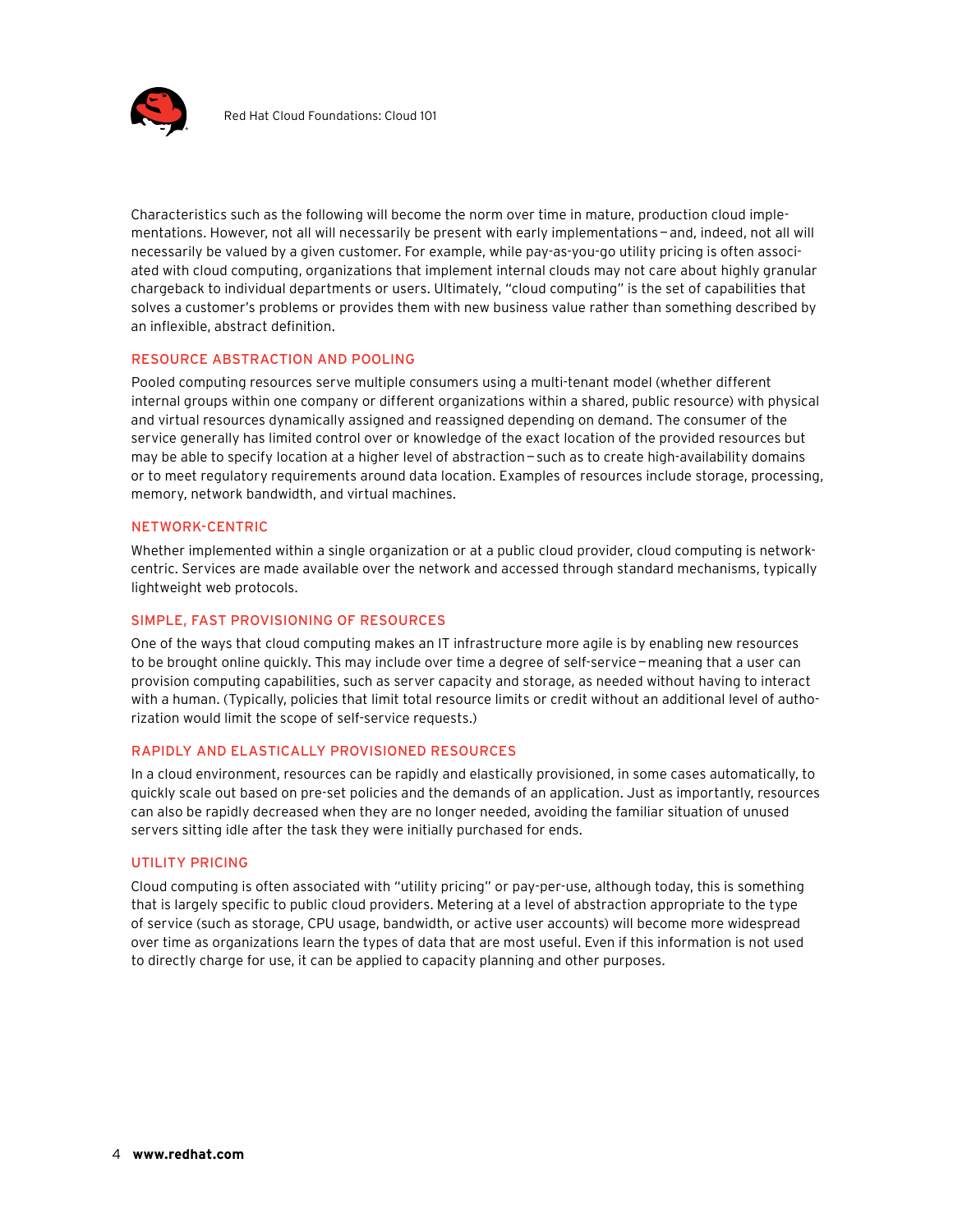

Characteristics such as the following will become the norm over time in mature, production cloud implementations. However, not all will necessarily be present with early implementations—and, indeed, not all will necessarily be valued by a given customer. For example, while pay-as-you-go utility pricing is often associated with cloud computing, organizations that implement internal clouds may not care about highly granular chargeback to individual departments or users. Ultimately, "cloud computing" is the set of capabilities that solves a customer's problems or provides them with new business value rather than something described by an inflexible, abstract definition.

#### Resource abstraction and pooling

Pooled computing resources serve multiple consumers using a multi-tenant model (whether different internal groups within one company or different organizations within a shared, public resource) with physical and virtual resources dynamically assigned and reassigned depending on demand. The consumer of the service generally has limited control over or knowledge of the exact location of the provided resources but may be able to specify location at a higher level of abstraction—such as to create high-availability domains or to meet regulatory requirements around data location. Examples of resources include storage, processing, memory, network bandwidth, and virtual machines.

#### Network-centric

Whether implemented within a single organization or at a public cloud provider, cloud computing is networkcentric. Services are made available over the network and accessed through standard mechanisms, typically lightweight web protocols.

#### Simple, fast provisioning of resources

One of the ways that cloud computing makes an IT infrastructure more agile is by enabling new resources to be brought online quickly. This may include over time a degree of self-service—meaning that a user can provision computing capabilities, such as server capacity and storage, as needed without having to interact with a human. (Typically, policies that limit total resource limits or credit without an additional level of authorization would limit the scope of self-service requests.)

#### Rapidly and elastically provisioned resources

In a cloud environment, resources can be rapidly and elastically provisioned, in some cases automatically, to quickly scale out based on pre-set policies and the demands of an application. Just as importantly, resources can also be rapidly decreased when they are no longer needed, avoiding the familiar situation of unused servers sitting idle after the task they were initially purchased for ends.

#### UTILITY PRICING

Cloud computing is often associated with "utility pricing" or pay-per-use, although today, this is something that is largely specific to public cloud providers. Metering at a level of abstraction appropriate to the type of service (such as storage, CPU usage, bandwidth, or active user accounts) will become more widespread over time as organizations learn the types of data that are most useful. Even if this information is not used to directly charge for use, it can be applied to capacity planning and other purposes.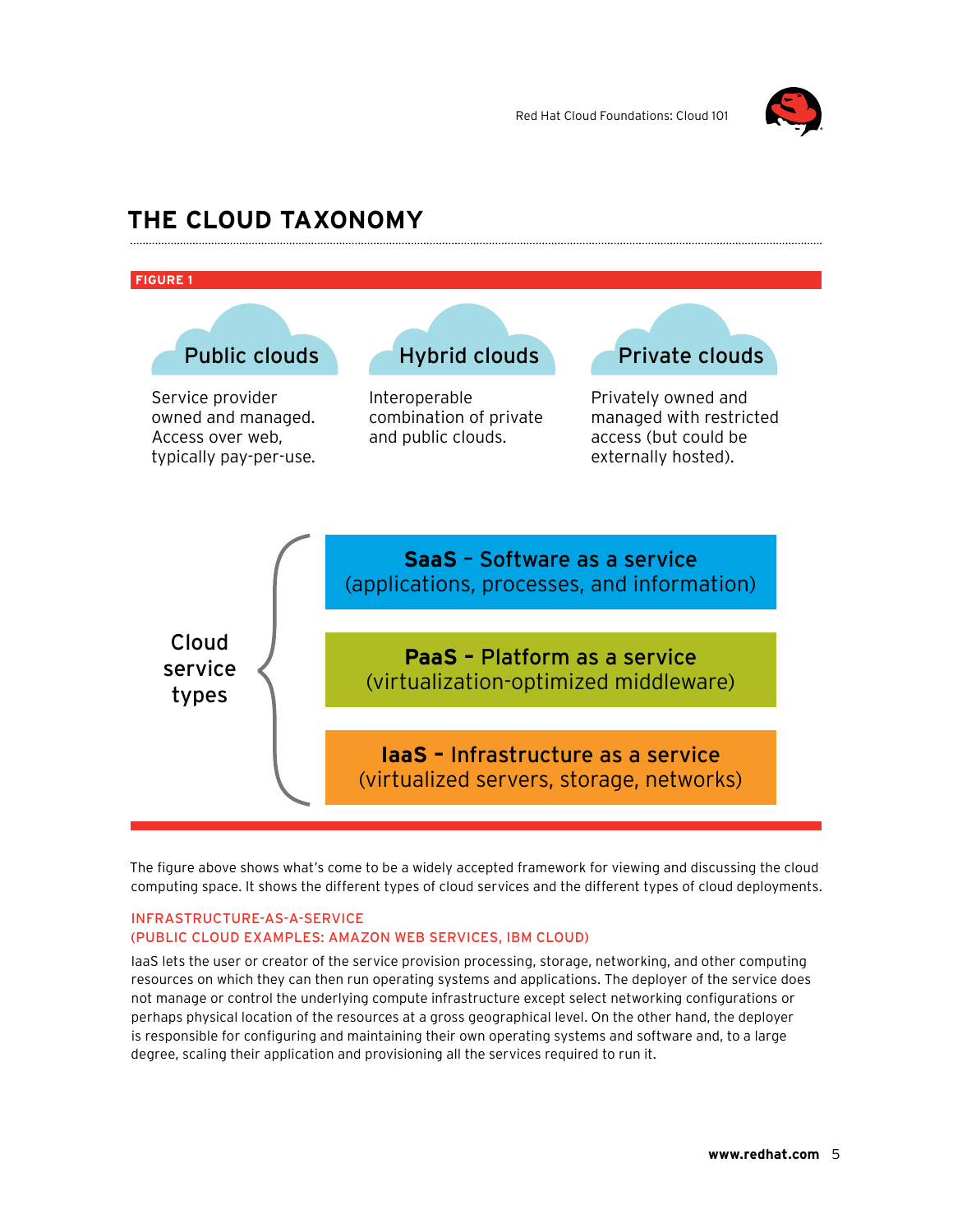

### **The cloud taxonomy**



The figure above shows what's come to be a widely accepted framework for viewing and discussing the cloud computing space. It shows the different types of cloud services and the different types of cloud deployments.

#### Infrastructure-as-a-Service (Public cloud examples: Amazon Web Services, IBM Cloud)

IaaS lets the user or creator of the service provision processing, storage, networking, and other computing resources on which they can then run operating systems and applications. The deployer of the service does not manage or control the underlying compute infrastructure except select networking configurations or perhaps physical location of the resources at a gross geographical level. On the other hand, the deployer is responsible for configuring and maintaining their own operating systems and software and, to a large degree, scaling their application and provisioning all the services required to run it.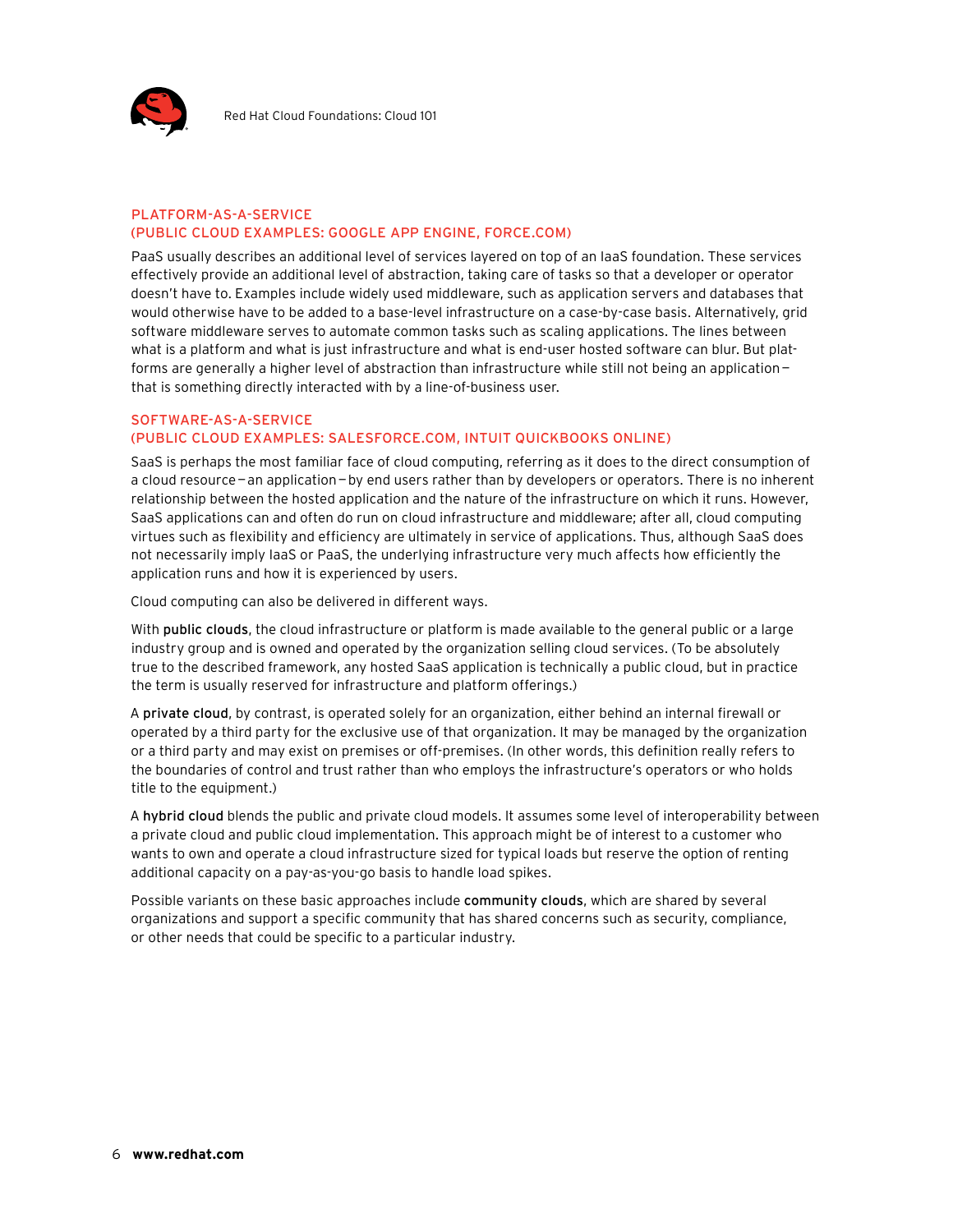

#### Platform-as-a-Service (Public cloud examples: Google App Engine, Force.com)

PaaS usually describes an additional level of services layered on top of an IaaS foundation. These services effectively provide an additional level of abstraction, taking care of tasks so that a developer or operator doesn't have to. Examples include widely used middleware, such as application servers and databases that would otherwise have to be added to a base-level infrastructure on a case-by-case basis. Alternatively, grid software middleware serves to automate common tasks such as scaling applications. The lines between what is a platform and what is just infrastructure and what is end-user hosted software can blur. But platforms are generally a higher level of abstraction than infrastructure while still not being an application that is something directly interacted with by a line-of-business user.

#### Software-as-a-Service (Public cloud examples: Salesforce.com, Intuit QuickBooks Online)

SaaS is perhaps the most familiar face of cloud computing, referring as it does to the direct consumption of a cloud resource—an application—by end users rather than by developers or operators. There is no inherent relationship between the hosted application and the nature of the infrastructure on which it runs. However, SaaS applications can and often do run on cloud infrastructure and middleware; after all, cloud computing virtues such as flexibility and efficiency are ultimately in service of applications. Thus, although SaaS does not necessarily imply IaaS or PaaS, the underlying infrastructure very much affects how efficiently the application runs and how it is experienced by users.

Cloud computing can also be delivered in different ways.

With public clouds, the cloud infrastructure or platform is made available to the general public or a large industry group and is owned and operated by the organization selling cloud services. (To be absolutely true to the described framework, any hosted SaaS application is technically a public cloud, but in practice the term is usually reserved for infrastructure and platform offerings.)

A private cloud, by contrast, is operated solely for an organization, either behind an internal firewall or operated by a third party for the exclusive use of that organization. It may be managed by the organization or a third party and may exist on premises or off-premises. (In other words, this definition really refers to the boundaries of control and trust rather than who employs the infrastructure's operators or who holds title to the equipment.)

A hybrid cloud blends the public and private cloud models. It assumes some level of interoperability between a private cloud and public cloud implementation. This approach might be of interest to a customer who wants to own and operate a cloud infrastructure sized for typical loads but reserve the option of renting additional capacity on a pay-as-you-go basis to handle load spikes.

Possible variants on these basic approaches include community clouds, which are shared by several organizations and support a specific community that has shared concerns such as security, compliance, or other needs that could be specific to a particular industry.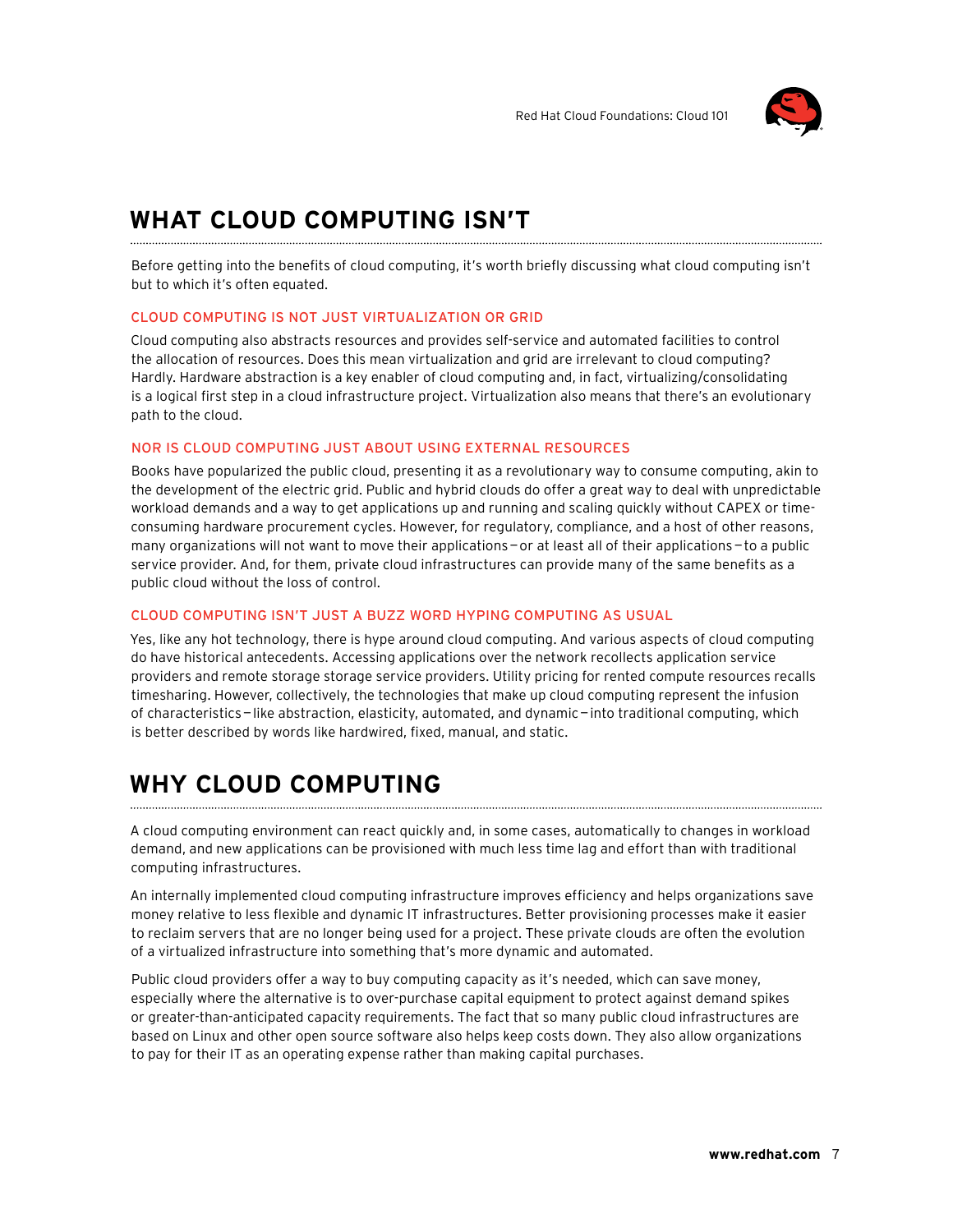

### **What cloud computing isn't**

Before getting into the benefits of cloud computing, it's worth briefly discussing what cloud computing isn't but to which it's often equated.

#### Cloud computing is not just virtualization or grid

Cloud computing also abstracts resources and provides self-service and automated facilities to control the allocation of resources. Does this mean virtualization and grid are irrelevant to cloud computing? Hardly. Hardware abstraction is a key enabler of cloud computing and, in fact, virtualizing/consolidating is a logical first step in a cloud infrastructure project. Virtualization also means that there's an evolutionary path to the cloud.

#### Nor is cloud computing just about using external resources

Books have popularized the public cloud, presenting it as a revolutionary way to consume computing, akin to the development of the electric grid. Public and hybrid clouds do offer a great way to deal with unpredictable workload demands and a way to get applications up and running and scaling quickly without CAPEX or timeconsuming hardware procurement cycles. However, for regulatory, compliance, and a host of other reasons, many organizations will not want to move their applications—or at least all of their applications—to a public service provider. And, for them, private cloud infrastructures can provide many of the same benefits as a public cloud without the loss of control.

#### Cloud computing isn't just a buzz word hyping computing as usual

Yes, like any hot technology, there is hype around cloud computing. And various aspects of cloud computing do have historical antecedents. Accessing applications over the network recollects application service providers and remote storage storage service providers. Utility pricing for rented compute resources recalls timesharing. However, collectively, the technologies that make up cloud computing represent the infusion of characteristics—like abstraction, elasticity, automated, and dynamic—into traditional computing, which is better described by words like hardwired, fixed, manual, and static.

### **Why cloud computing**

A cloud computing environment can react quickly and, in some cases, automatically to changes in workload demand, and new applications can be provisioned with much less time lag and effort than with traditional computing infrastructures.

An internally implemented cloud computing infrastructure improves efficiency and helps organizations save money relative to less flexible and dynamic IT infrastructures. Better provisioning processes make it easier to reclaim servers that are no longer being used for a project. These private clouds are often the evolution of a virtualized infrastructure into something that's more dynamic and automated.

Public cloud providers offer a way to buy computing capacity as it's needed, which can save money, especially where the alternative is to over-purchase capital equipment to protect against demand spikes or greater-than-anticipated capacity requirements. The fact that so many public cloud infrastructures are based on Linux and other open source software also helps keep costs down. They also allow organizations to pay for their IT as an operating expense rather than making capital purchases.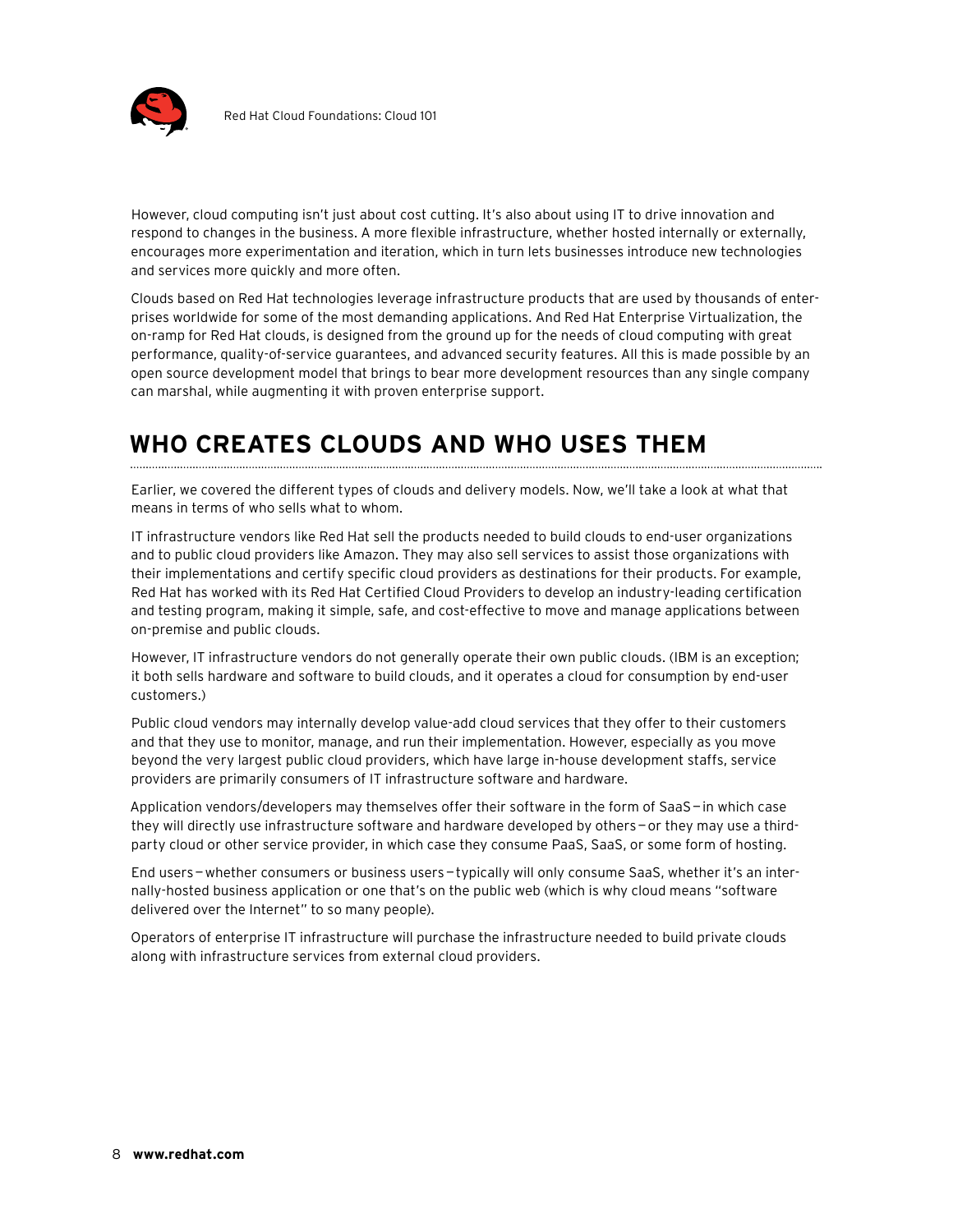

However, cloud computing isn't just about cost cutting. It's also about using IT to drive innovation and respond to changes in the business. A more flexible infrastructure, whether hosted internally or externally, encourages more experimentation and iteration, which in turn lets businesses introduce new technologies and services more quickly and more often.

Clouds based on Red Hat technologies leverage infrastructure products that are used by thousands of enterprises worldwide for some of the most demanding applications. And Red Hat Enterprise Virtualization, the on-ramp for Red Hat clouds, is designed from the ground up for the needs of cloud computing with great performance, quality-of-service guarantees, and advanced security features. All this is made possible by an open source development model that brings to bear more development resources than any single company can marshal, while augmenting it with proven enterprise support.

# **Who creates clouds and who uses them**

Earlier, we covered the different types of clouds and delivery models. Now, we'll take a look at what that means in terms of who sells what to whom.

IT infrastructure vendors like Red Hat sell the products needed to build clouds to end-user organizations and to public cloud providers like Amazon. They may also sell services to assist those organizations with their implementations and certify specific cloud providers as destinations for their products. For example, Red Hat has worked with its Red Hat Certified Cloud Providers to develop an industry-leading certification and testing program, making it simple, safe, and cost-effective to move and manage applications between on-premise and public clouds.

However, IT infrastructure vendors do not generally operate their own public clouds. (IBM is an exception; it both sells hardware and software to build clouds, and it operates a cloud for consumption by end-user customers.)

Public cloud vendors may internally develop value-add cloud services that they offer to their customers and that they use to monitor, manage, and run their implementation. However, especially as you move beyond the very largest public cloud providers, which have large in-house development staffs, service providers are primarily consumers of IT infrastructure software and hardware.

Application vendors/developers may themselves offer their software in the form of SaaS—in which case they will directly use infrastructure software and hardware developed by others—or they may use a thirdparty cloud or other service provider, in which case they consume PaaS, SaaS, or some form of hosting.

End users—whether consumers or business users—typically will only consume SaaS, whether it's an internally-hosted business application or one that's on the public web (which is why cloud means "software delivered over the Internet" to so many people).

Operators of enterprise IT infrastructure will purchase the infrastructure needed to build private clouds along with infrastructure services from external cloud providers.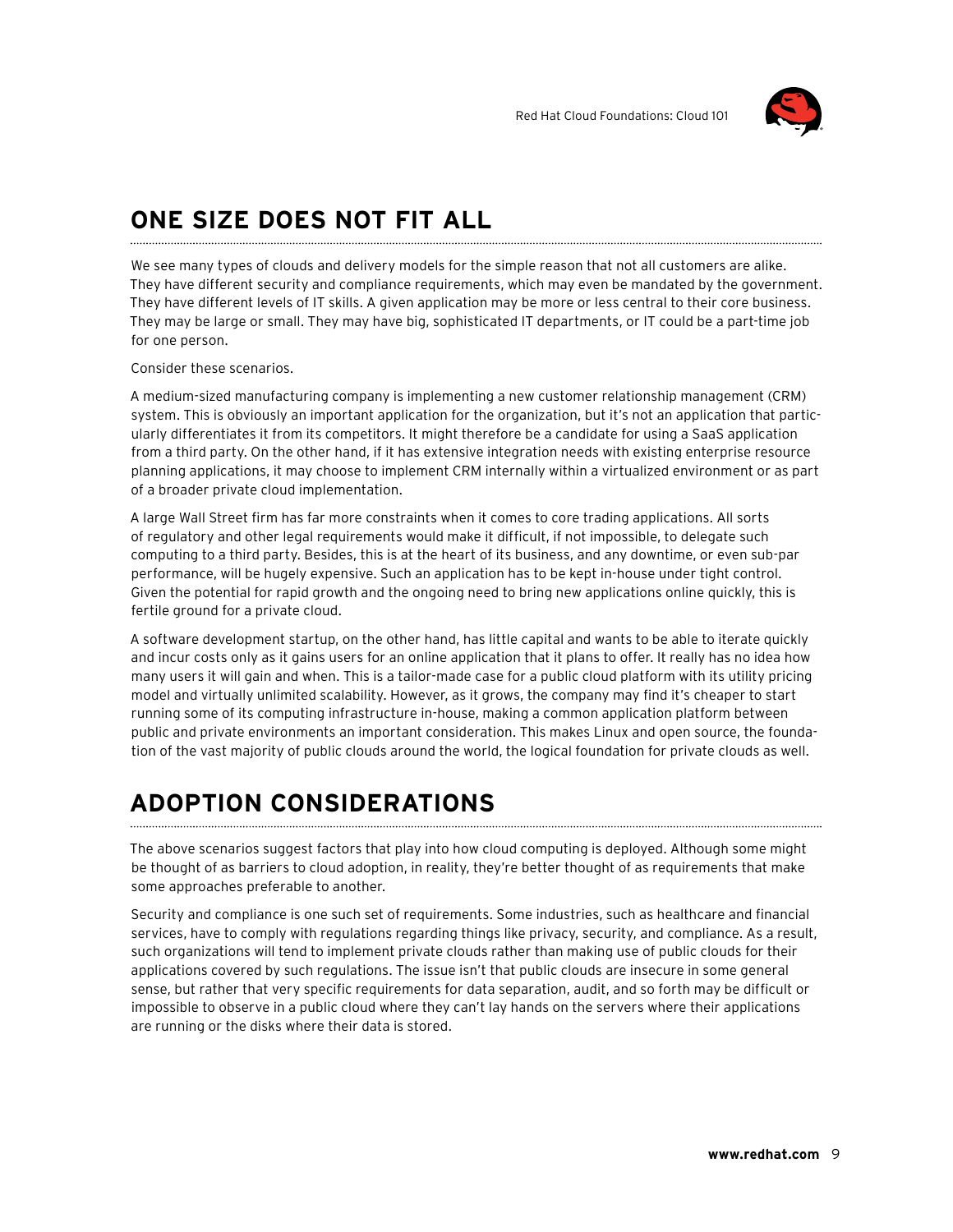

# **One size does not fit all**

We see many types of clouds and delivery models for the simple reason that not all customers are alike. They have different security and compliance requirements, which may even be mandated by the government. They have different levels of IT skills. A given application may be more or less central to their core business. They may be large or small. They may have big, sophisticated IT departments, or IT could be a part-time job for one person.

Consider these scenarios.

A medium-sized manufacturing company is implementing a new customer relationship management (CRM) system. This is obviously an important application for the organization, but it's not an application that particularly differentiates it from its competitors. It might therefore be a candidate for using a SaaS application from a third party. On the other hand, if it has extensive integration needs with existing enterprise resource planning applications, it may choose to implement CRM internally within a virtualized environment or as part of a broader private cloud implementation.

A large Wall Street firm has far more constraints when it comes to core trading applications. All sorts of regulatory and other legal requirements would make it difficult, if not impossible, to delegate such computing to a third party. Besides, this is at the heart of its business, and any downtime, or even sub-par performance, will be hugely expensive. Such an application has to be kept in-house under tight control. Given the potential for rapid growth and the ongoing need to bring new applications online quickly, this is fertile ground for a private cloud.

A software development startup, on the other hand, has little capital and wants to be able to iterate quickly and incur costs only as it gains users for an online application that it plans to offer. It really has no idea how many users it will gain and when. This is a tailor-made case for a public cloud platform with its utility pricing model and virtually unlimited scalability. However, as it grows, the company may find it's cheaper to start running some of its computing infrastructure in-house, making a common application platform between public and private environments an important consideration. This makes Linux and open source, the foundation of the vast majority of public clouds around the world, the logical foundation for private clouds as well.

### **Adoption considerations**

The above scenarios suggest factors that play into how cloud computing is deployed. Although some might be thought of as barriers to cloud adoption, in reality, they're better thought of as requirements that make some approaches preferable to another.

Security and compliance is one such set of requirements. Some industries, such as healthcare and financial services, have to comply with regulations regarding things like privacy, security, and compliance. As a result, such organizations will tend to implement private clouds rather than making use of public clouds for their applications covered by such regulations. The issue isn't that public clouds are insecure in some general sense, but rather that very specific requirements for data separation, audit, and so forth may be difficult or impossible to observe in a public cloud where they can't lay hands on the servers where their applications are running or the disks where their data is stored.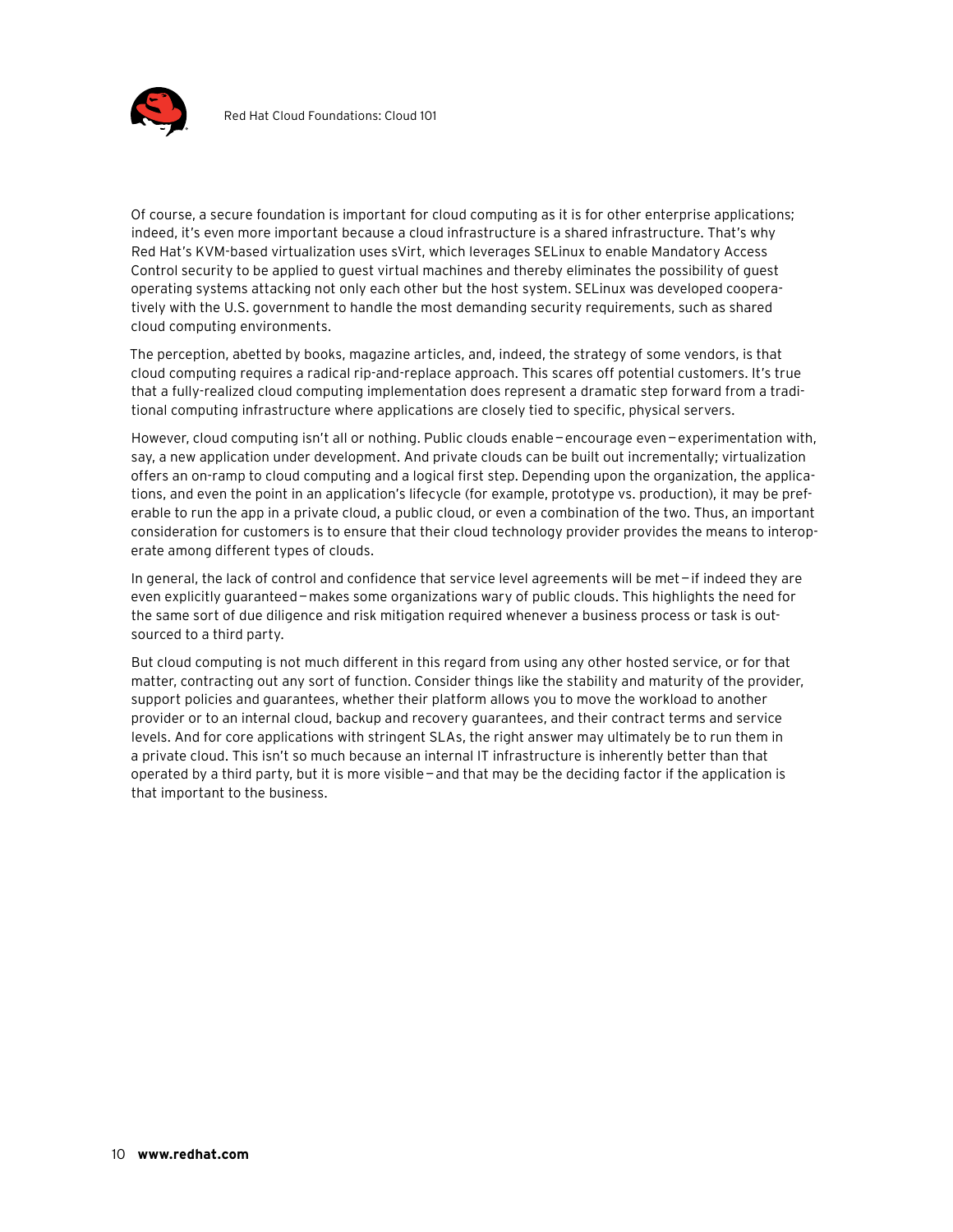

Of course, a secure foundation is important for cloud computing as it is for other enterprise applications; indeed, it's even more important because a cloud infrastructure is a shared infrastructure. That's why Red Hat's KVM-based virtualization uses sVirt, which leverages SELinux to enable Mandatory Access Control security to be applied to guest virtual machines and thereby eliminates the possibility of guest operating systems attacking not only each other but the host system. SELinux was developed cooperatively with the U.S. government to handle the most demanding security requirements, such as shared cloud computing environments.

The perception, abetted by books, magazine articles, and, indeed, the strategy of some vendors, is that cloud computing requires a radical rip-and-replace approach. This scares off potential customers. It's true that a fully-realized cloud computing implementation does represent a dramatic step forward from a traditional computing infrastructure where applications are closely tied to specific, physical servers.

However, cloud computing isn't all or nothing. Public clouds enable—encourage even—experimentation with, say, a new application under development. And private clouds can be built out incrementally; virtualization offers an on-ramp to cloud computing and a logical first step. Depending upon the organization, the applications, and even the point in an application's lifecycle (for example, prototype vs. production), it may be preferable to run the app in a private cloud, a public cloud, or even a combination of the two. Thus, an important consideration for customers is to ensure that their cloud technology provider provides the means to interoperate among different types of clouds.

In general, the lack of control and confidence that service level agreements will be met—if indeed they are even explicitly guaranteed—makes some organizations wary of public clouds. This highlights the need for the same sort of due diligence and risk mitigation required whenever a business process or task is outsourced to a third party.

But cloud computing is not much different in this regard from using any other hosted service, or for that matter, contracting out any sort of function. Consider things like the stability and maturity of the provider, support policies and guarantees, whether their platform allows you to move the workload to another provider or to an internal cloud, backup and recovery guarantees, and their contract terms and service levels. And for core applications with stringent SLAs, the right answer may ultimately be to run them in a private cloud. This isn't so much because an internal IT infrastructure is inherently better than that operated by a third party, but it is more visible—and that may be the deciding factor if the application is that important to the business.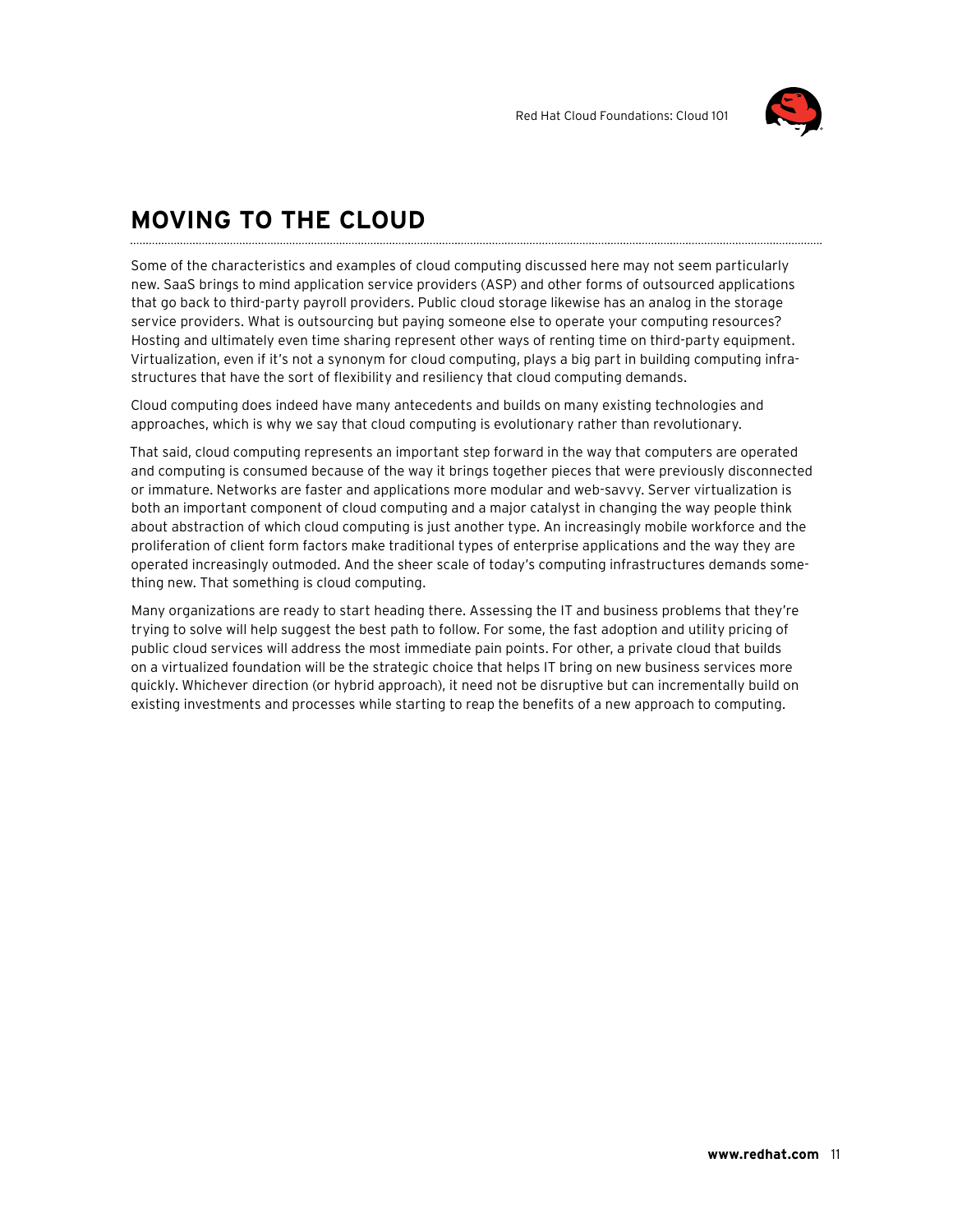

### **Moving to the cloud**

Some of the characteristics and examples of cloud computing discussed here may not seem particularly new. SaaS brings to mind application service providers (ASP) and other forms of outsourced applications that go back to third-party payroll providers. Public cloud storage likewise has an analog in the storage service providers. What is outsourcing but paying someone else to operate your computing resources? Hosting and ultimately even time sharing represent other ways of renting time on third-party equipment. Virtualization, even if it's not a synonym for cloud computing, plays a big part in building computing infrastructures that have the sort of flexibility and resiliency that cloud computing demands.

Cloud computing does indeed have many antecedents and builds on many existing technologies and approaches, which is why we say that cloud computing is evolutionary rather than revolutionary.

That said, cloud computing represents an important step forward in the way that computers are operated and computing is consumed because of the way it brings together pieces that were previously disconnected or immature. Networks are faster and applications more modular and web-savvy. Server virtualization is both an important component of cloud computing and a major catalyst in changing the way people think about abstraction of which cloud computing is just another type. An increasingly mobile workforce and the proliferation of client form factors make traditional types of enterprise applications and the way they are operated increasingly outmoded. And the sheer scale of today's computing infrastructures demands something new. That something is cloud computing.

Many organizations are ready to start heading there. Assessing the IT and business problems that they're trying to solve will help suggest the best path to follow. For some, the fast adoption and utility pricing of public cloud services will address the most immediate pain points. For other, a private cloud that builds on a virtualized foundation will be the strategic choice that helps IT bring on new business services more quickly. Whichever direction (or hybrid approach), it need not be disruptive but can incrementally build on existing investments and processes while starting to reap the benefits of a new approach to computing.